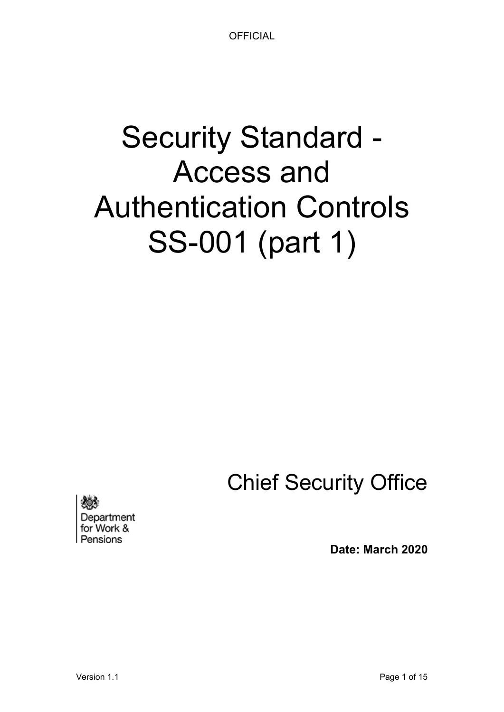# Security Standard - Access and Authentication Controls SS-001 (part 1)

Chief Security Office

Department for Work & Pensions

**Date: March 2020**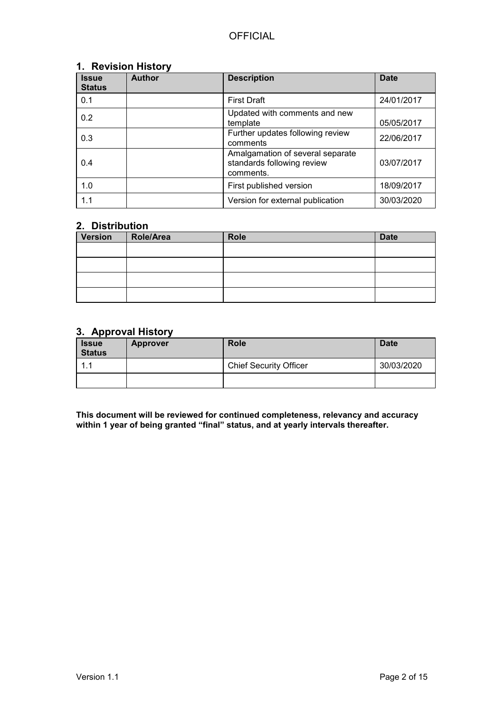#### <span id="page-1-0"></span>**1. Revision History**

| <b>Issue</b><br><b>Status</b> | <b>Author</b> | <b>Description</b>                                                          | <b>Date</b> |
|-------------------------------|---------------|-----------------------------------------------------------------------------|-------------|
| 0.1                           |               | <b>First Draft</b>                                                          | 24/01/2017  |
| 0.2                           |               | Updated with comments and new<br>template                                   | 05/05/2017  |
| 0.3                           |               | Further updates following review<br>comments                                | 22/06/2017  |
| 0.4                           |               | Amalgamation of several separate<br>standards following review<br>comments. | 03/07/2017  |
| 1.0                           |               | First published version                                                     | 18/09/2017  |
| 1.1                           |               | Version for external publication                                            | 30/03/2020  |

#### **2. Distribution**

| <b>Version</b> | Role/Area | <b>Role</b> | <b>Date</b> |
|----------------|-----------|-------------|-------------|
|                |           |             |             |
|                |           |             |             |
|                |           |             |             |
|                |           |             |             |

#### <span id="page-1-1"></span>**3. Approval History**

| <b>Issue</b><br><b>Status</b> | <b>Approver</b> | <b>Role</b>                   | <b>Date</b> |
|-------------------------------|-----------------|-------------------------------|-------------|
| $\mathbf 1$                   |                 | <b>Chief Security Officer</b> | 30/03/2020  |
|                               |                 |                               |             |

**This document will be reviewed for continued completeness, relevancy and accuracy within 1 year of being granted "final" status, and at yearly intervals thereafter.**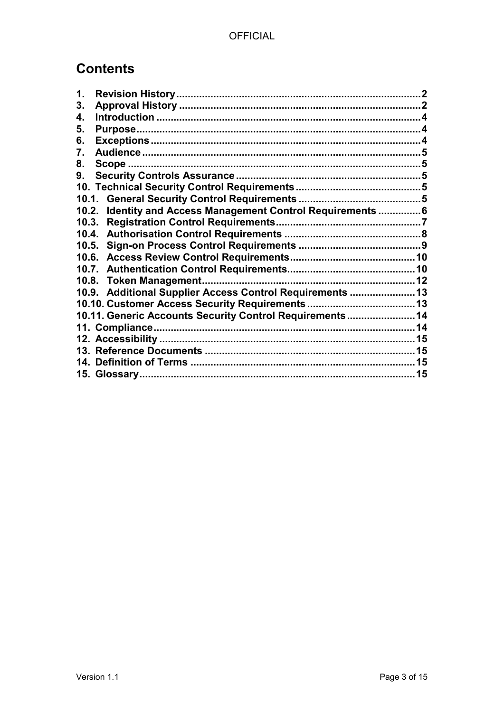# **Contents**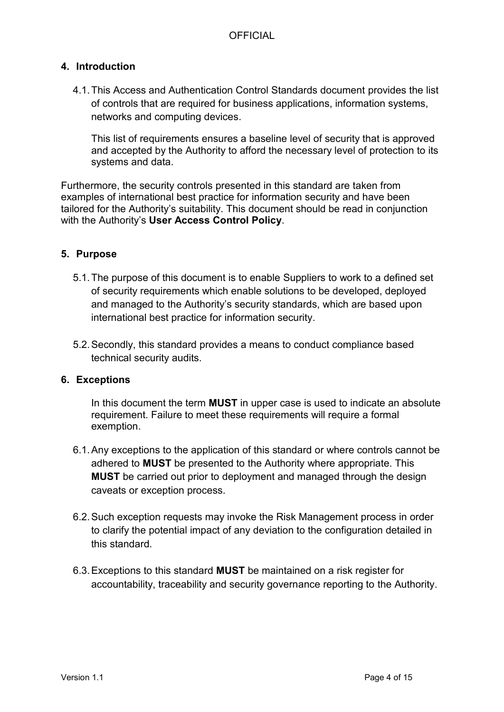## <span id="page-3-0"></span>**4. Introduction**

4.1.This Access and Authentication Control Standards document provides the list of controls that are required for business applications, information systems, networks and computing devices.

This list of requirements ensures a baseline level of security that is approved and accepted by the Authority to afford the necessary level of protection to its systems and data.

Furthermore, the security controls presented in this standard are taken from examples of international best practice for information security and have been tailored for the Authority's suitability. This document should be read in conjunction with the Authority's **User Access Control Policy**.

## <span id="page-3-1"></span>**5. Purpose**

- 5.1.The purpose of this document is to enable Suppliers to work to a defined set of security requirements which enable solutions to be developed, deployed and managed to the Authority's security standards, which are based upon international best practice for information security.
- 5.2.Secondly, this standard provides a means to conduct compliance based technical security audits.

#### <span id="page-3-2"></span>**6. Exceptions**

In this document the term **MUST** in upper case is used to indicate an absolute requirement. Failure to meet these requirements will require a formal exemption.

- 6.1.Any exceptions to the application of this standard or where controls cannot be adhered to **MUST** be presented to the Authority where appropriate. This **MUST** be carried out prior to deployment and managed through the design caveats or exception process.
- 6.2.Such exception requests may invoke the Risk Management process in order to clarify the potential impact of any deviation to the configuration detailed in this standard.
- 6.3.Exceptions to this standard **MUST** be maintained on a risk register for accountability, traceability and security governance reporting to the Authority.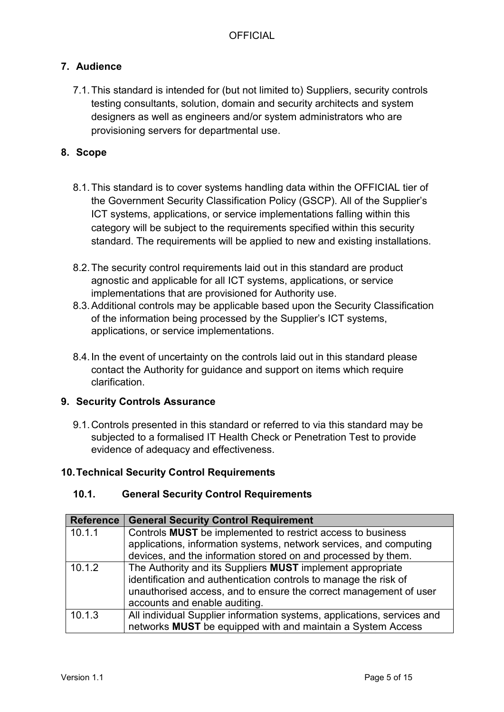## <span id="page-4-0"></span>**7. Audience**

7.1.This standard is intended for (but not limited to) Suppliers, security controls testing consultants, solution, domain and security architects and system designers as well as engineers and/or system administrators who are provisioning servers for departmental use.

## <span id="page-4-1"></span>**8. Scope**

- 8.1.This standard is to cover systems handling data within the OFFICIAL tier of the Government Security Classification Policy (GSCP). All of the Supplier's ICT systems, applications, or service implementations falling within this category will be subject to the requirements specified within this security standard. The requirements will be applied to new and existing installations.
- 8.2.The security control requirements laid out in this standard are product agnostic and applicable for all ICT systems, applications, or service implementations that are provisioned for Authority use.
- 8.3.Additional controls may be applicable based upon the Security Classification of the information being processed by the Supplier's ICT systems, applications, or service implementations.
- 8.4.In the event of uncertainty on the controls laid out in this standard please contact the Authority for guidance and support on items which require clarification.

## <span id="page-4-2"></span>**9. Security Controls Assurance**

9.1.Controls presented in this standard or referred to via this standard may be subjected to a formalised IT Health Check or Penetration Test to provide evidence of adequacy and effectiveness.

## <span id="page-4-4"></span><span id="page-4-3"></span>**10.Technical Security Control Requirements**

#### **10.1. General Security Control Requirements**

| <b>Reference</b> | <b>General Security Control Requirement</b>                             |
|------------------|-------------------------------------------------------------------------|
| 10.1.1           | Controls MUST be implemented to restrict access to business             |
|                  | applications, information systems, network services, and computing      |
|                  | devices, and the information stored on and processed by them.           |
| 10.1.2           | The Authority and its Suppliers MUST implement appropriate              |
|                  | identification and authentication controls to manage the risk of        |
|                  | unauthorised access, and to ensure the correct management of user       |
|                  | accounts and enable auditing.                                           |
| 10.1.3           | All individual Supplier information systems, applications, services and |
|                  | networks MUST be equipped with and maintain a System Access             |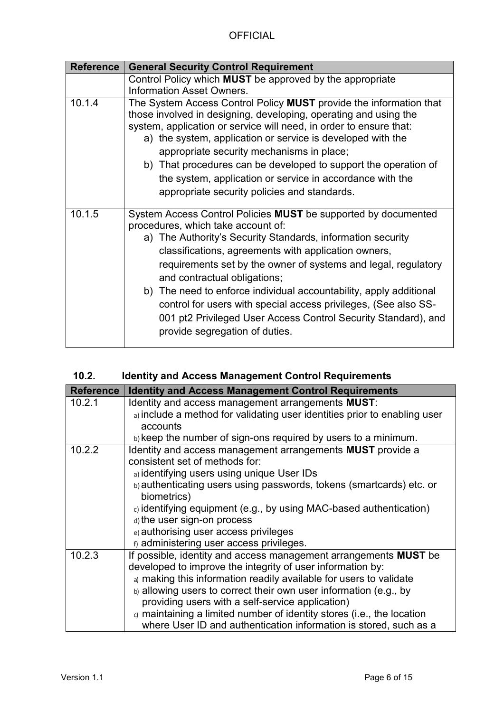| <b>Reference</b> | <b>General Security Control Requirement</b>                                                                                                                                                                                                                                                                                                                                                                                                                                                                                                                                |
|------------------|----------------------------------------------------------------------------------------------------------------------------------------------------------------------------------------------------------------------------------------------------------------------------------------------------------------------------------------------------------------------------------------------------------------------------------------------------------------------------------------------------------------------------------------------------------------------------|
|                  | Control Policy which <b>MUST</b> be approved by the appropriate                                                                                                                                                                                                                                                                                                                                                                                                                                                                                                            |
|                  | <b>Information Asset Owners.</b>                                                                                                                                                                                                                                                                                                                                                                                                                                                                                                                                           |
| 10.1.4           | The System Access Control Policy MUST provide the information that<br>those involved in designing, developing, operating and using the<br>system, application or service will need, in order to ensure that:<br>a) the system, application or service is developed with the<br>appropriate security mechanisms in place;<br>b) That procedures can be developed to support the operation of<br>the system, application or service in accordance with the<br>appropriate security policies and standards.                                                                   |
| 10.1.5           | System Access Control Policies MUST be supported by documented<br>procedures, which take account of:<br>a) The Authority's Security Standards, information security<br>classifications, agreements with application owners,<br>requirements set by the owner of systems and legal, regulatory<br>and contractual obligations;<br>b) The need to enforce individual accountability, apply additional<br>control for users with special access privileges, (See also SS-<br>001 pt2 Privileged User Access Control Security Standard), and<br>provide segregation of duties. |

<span id="page-5-0"></span>

| 10.2. |  |  | <b>Identity and Access Management Control Requirements</b> |
|-------|--|--|------------------------------------------------------------|
|       |  |  |                                                            |

| <b>Reference</b> | <b>Identity and Access Management Control Requirements</b>                                                                                                                                                                                                                                                                                                                                                                                                                  |
|------------------|-----------------------------------------------------------------------------------------------------------------------------------------------------------------------------------------------------------------------------------------------------------------------------------------------------------------------------------------------------------------------------------------------------------------------------------------------------------------------------|
| 10.2.1           | Identity and access management arrangements MUST:<br>a) include a method for validating user identities prior to enabling user<br>accounts                                                                                                                                                                                                                                                                                                                                  |
|                  | b) keep the number of sign-ons required by users to a minimum.                                                                                                                                                                                                                                                                                                                                                                                                              |
| 10.2.2           | Identity and access management arrangements MUST provide a<br>consistent set of methods for:<br>a) identifying users using unique User IDs<br>b) authenticating users using passwords, tokens (smartcards) etc. or                                                                                                                                                                                                                                                          |
|                  | biometrics)<br>$ci$ identifying equipment (e.g., by using MAC-based authentication)<br>d) the user sign-on process<br>e) authorising user access privileges<br>f) administering user access privileges.                                                                                                                                                                                                                                                                     |
| 10.2.3           | If possible, identity and access management arrangements MUST be<br>developed to improve the integrity of user information by:<br>a) making this information readily available for users to validate<br>b) allowing users to correct their own user information (e.g., by<br>providing users with a self-service application)<br>o maintaining a limited number of identity stores (i.e., the location<br>where User ID and authentication information is stored, such as a |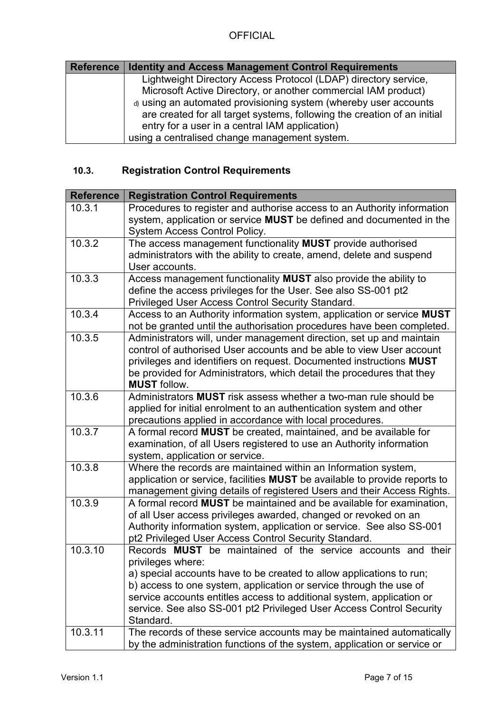| <b>Reference</b> | <b>Identity and Access Management Control Requirements</b>               |
|------------------|--------------------------------------------------------------------------|
|                  | Lightweight Directory Access Protocol (LDAP) directory service,          |
|                  | Microsoft Active Directory, or another commercial IAM product)           |
|                  | d) using an automated provisioning system (whereby user accounts         |
|                  | are created for all target systems, following the creation of an initial |
|                  | entry for a user in a central IAM application)                           |
|                  | using a centralised change management system.                            |

# <span id="page-6-0"></span>**10.3. Registration Control Requirements**

| <b>Reference</b> | <b>Registration Control Requirements</b>                                                                                                                                                                                                                                                                                                                                                      |
|------------------|-----------------------------------------------------------------------------------------------------------------------------------------------------------------------------------------------------------------------------------------------------------------------------------------------------------------------------------------------------------------------------------------------|
| 10.3.1           | Procedures to register and authorise access to an Authority information<br>system, application or service MUST be defined and documented in the<br>System Access Control Policy.                                                                                                                                                                                                              |
| 10.3.2           | The access management functionality MUST provide authorised<br>administrators with the ability to create, amend, delete and suspend<br>User accounts.                                                                                                                                                                                                                                         |
| 10.3.3           | Access management functionality MUST also provide the ability to<br>define the access privileges for the User. See also SS-001 pt2<br>Privileged User Access Control Security Standard.                                                                                                                                                                                                       |
| 10.3.4           | Access to an Authority information system, application or service MUST<br>not be granted until the authorisation procedures have been completed.                                                                                                                                                                                                                                              |
| 10.3.5           | Administrators will, under management direction, set up and maintain<br>control of authorised User accounts and be able to view User account<br>privileges and identifiers on request. Documented instructions MUST<br>be provided for Administrators, which detail the procedures that they<br><b>MUST</b> follow.                                                                           |
| 10.3.6           | Administrators <b>MUST</b> risk assess whether a two-man rule should be<br>applied for initial enrolment to an authentication system and other<br>precautions applied in accordance with local procedures.                                                                                                                                                                                    |
| 10.3.7           | A formal record MUST be created, maintained, and be available for<br>examination, of all Users registered to use an Authority information<br>system, application or service.                                                                                                                                                                                                                  |
| 10.3.8           | Where the records are maintained within an Information system,<br>application or service, facilities MUST be available to provide reports to<br>management giving details of registered Users and their Access Rights.                                                                                                                                                                        |
| 10.3.9           | A formal record <b>MUST</b> be maintained and be available for examination,<br>of all User access privileges awarded, changed or revoked on an<br>Authority information system, application or service. See also SS-001<br>pt2 Privileged User Access Control Security Standard.                                                                                                              |
| 10.3.10          | Records MUST be maintained of the service accounts and their<br>privileges where:<br>a) special accounts have to be created to allow applications to run;<br>b) access to one system, application or service through the use of<br>service accounts entitles access to additional system, application or<br>service. See also SS-001 pt2 Privileged User Access Control Security<br>Standard. |
| 10.3.11          | The records of these service accounts may be maintained automatically<br>by the administration functions of the system, application or service or                                                                                                                                                                                                                                             |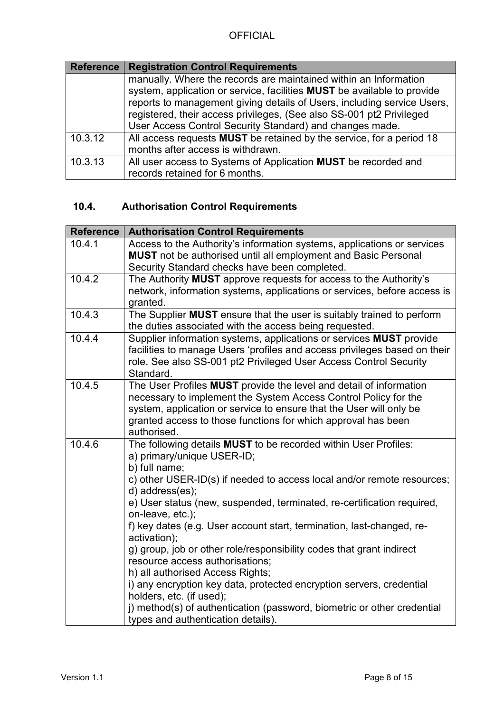| Reference | <b>Registration Control Requirements</b>                                                                                                                                                                                          |  |
|-----------|-----------------------------------------------------------------------------------------------------------------------------------------------------------------------------------------------------------------------------------|--|
|           | manually. Where the records are maintained within an Information                                                                                                                                                                  |  |
|           | system, application or service, facilities <b>MUST</b> be available to provide<br>reports to management giving details of Users, including service Users,<br>registered, their access privileges, (See also SS-001 pt2 Privileged |  |
|           | User Access Control Security Standard) and changes made.                                                                                                                                                                          |  |
| 10.3.12   | All access requests <b>MUST</b> be retained by the service, for a period 18                                                                                                                                                       |  |
|           | months after access is withdrawn.                                                                                                                                                                                                 |  |
| 10.3.13   | All user access to Systems of Application MUST be recorded and<br>records retained for 6 months.                                                                                                                                  |  |

# <span id="page-7-0"></span>**10.4. Authorisation Control Requirements**

| <b>Reference</b> | <b>Authorisation Control Requirements</b>                                                                                                                                                                                                                                                                                                                                                                                                                                                                                                                                                                                                                                                                                                                              |
|------------------|------------------------------------------------------------------------------------------------------------------------------------------------------------------------------------------------------------------------------------------------------------------------------------------------------------------------------------------------------------------------------------------------------------------------------------------------------------------------------------------------------------------------------------------------------------------------------------------------------------------------------------------------------------------------------------------------------------------------------------------------------------------------|
| 10.4.1           | Access to the Authority's information systems, applications or services<br><b>MUST</b> not be authorised until all employment and Basic Personal<br>Security Standard checks have been completed.                                                                                                                                                                                                                                                                                                                                                                                                                                                                                                                                                                      |
| 10.4.2           | The Authority MUST approve requests for access to the Authority's                                                                                                                                                                                                                                                                                                                                                                                                                                                                                                                                                                                                                                                                                                      |
|                  | network, information systems, applications or services, before access is<br>granted.                                                                                                                                                                                                                                                                                                                                                                                                                                                                                                                                                                                                                                                                                   |
| 10.4.3           | The Supplier MUST ensure that the user is suitably trained to perform                                                                                                                                                                                                                                                                                                                                                                                                                                                                                                                                                                                                                                                                                                  |
|                  | the duties associated with the access being requested.                                                                                                                                                                                                                                                                                                                                                                                                                                                                                                                                                                                                                                                                                                                 |
| 10.4.4           | Supplier information systems, applications or services MUST provide<br>facilities to manage Users 'profiles and access privileges based on their<br>role. See also SS-001 pt2 Privileged User Access Control Security<br>Standard.                                                                                                                                                                                                                                                                                                                                                                                                                                                                                                                                     |
| 10.4.5           | The User Profiles MUST provide the level and detail of information<br>necessary to implement the System Access Control Policy for the<br>system, application or service to ensure that the User will only be<br>granted access to those functions for which approval has been<br>authorised.                                                                                                                                                                                                                                                                                                                                                                                                                                                                           |
| 10.4.6           | The following details MUST to be recorded within User Profiles:<br>a) primary/unique USER-ID;<br>b) full name;<br>c) other USER-ID(s) if needed to access local and/or remote resources;<br>d) address(es);<br>e) User status (new, suspended, terminated, re-certification required,<br>on-leave, etc.);<br>f) key dates (e.g. User account start, termination, last-changed, re-<br>activation);<br>g) group, job or other role/responsibility codes that grant indirect<br>resource access authorisations;<br>h) all authorised Access Rights;<br>i) any encryption key data, protected encryption servers, credential<br>holders, etc. (if used);<br>j) method(s) of authentication (password, biometric or other credential<br>types and authentication details). |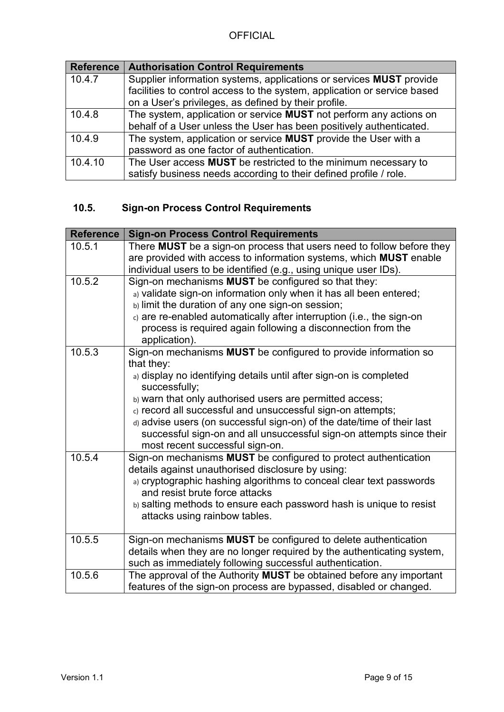|         | Reference   Authorisation Control Requirements                             |  |
|---------|----------------------------------------------------------------------------|--|
| 10.4.7  | Supplier information systems, applications or services <b>MUST</b> provide |  |
|         | facilities to control access to the system, application or service based   |  |
|         | on a User's privileges, as defined by their profile.                       |  |
| 10.4.8  | The system, application or service <b>MUST</b> not perform any actions on  |  |
|         | behalf of a User unless the User has been positively authenticated.        |  |
| 10.4.9  | The system, application or service MUST provide the User with a            |  |
|         | password as one factor of authentication.                                  |  |
| 10.4.10 | The User access MUST be restricted to the minimum necessary to             |  |
|         | satisfy business needs according to their defined profile / role.          |  |

# <span id="page-8-0"></span>**10.5. Sign-on Process Control Requirements**

| <b>Reference</b> | <b>Sign-on Process Control Requirements</b>                                                                                               |
|------------------|-------------------------------------------------------------------------------------------------------------------------------------------|
| 10.5.1           | There MUST be a sign-on process that users need to follow before they                                                                     |
|                  | are provided with access to information systems, which MUST enable                                                                        |
|                  | individual users to be identified (e.g., using unique user IDs).                                                                          |
| 10.5.2           | Sign-on mechanisms MUST be configured so that they:                                                                                       |
|                  | a) validate sign-on information only when it has all been entered;                                                                        |
|                  | b) limit the duration of any one sign-on session;                                                                                         |
|                  | c) are re-enabled automatically after interruption (i.e., the sign-on                                                                     |
|                  | process is required again following a disconnection from the<br>application).                                                             |
| 10.5.3           | Sign-on mechanisms MUST be configured to provide information so<br>that they:                                                             |
|                  | a) display no identifying details until after sign-on is completed<br>successfully;                                                       |
|                  | b) warn that only authorised users are permitted access;                                                                                  |
|                  | c) record all successful and unsuccessful sign-on attempts;                                                                               |
|                  | d) advise users (on successful sign-on) of the date/time of their last                                                                    |
|                  | successful sign-on and all unsuccessful sign-on attempts since their                                                                      |
|                  | most recent successful sign-on.                                                                                                           |
| 10.5.4           | Sign-on mechanisms MUST be configured to protect authentication<br>details against unauthorised disclosure by using:                      |
|                  | a) cryptographic hashing algorithms to conceal clear text passwords<br>and resist brute force attacks                                     |
|                  | b) salting methods to ensure each password hash is unique to resist<br>attacks using rainbow tables.                                      |
| 10.5.5           | Sign-on mechanisms MUST be configured to delete authentication                                                                            |
|                  | details when they are no longer required by the authenticating system,<br>such as immediately following successful authentication.        |
| 10.5.6           | The approval of the Authority MUST be obtained before any important<br>features of the sign-on process are bypassed, disabled or changed. |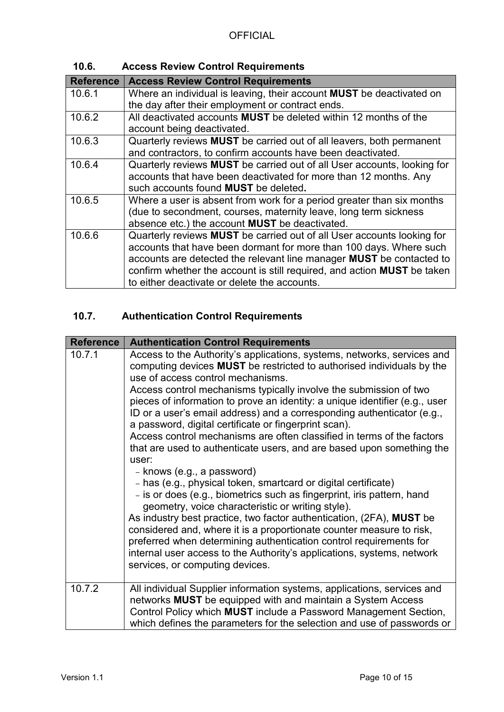**10.6. Access Review Control Requirements**

<span id="page-9-0"></span>

| <b>Reference</b> | <b>Access Review Control Requirements</b>                                   |
|------------------|-----------------------------------------------------------------------------|
| 10.6.1           | Where an individual is leaving, their account <b>MUST</b> be deactivated on |
|                  | the day after their employment or contract ends.                            |
| 10.6.2           | All deactivated accounts MUST be deleted within 12 months of the            |
|                  | account being deactivated.                                                  |
| 10.6.3           | Quarterly reviews MUST be carried out of all leavers, both permanent        |
|                  | and contractors, to confirm accounts have been deactivated.                 |
| 10.6.4           | Quarterly reviews MUST be carried out of all User accounts, looking for     |
|                  | accounts that have been deactivated for more than 12 months. Any            |
|                  | such accounts found MUST be deleted.                                        |
| 10.6.5           | Where a user is absent from work for a period greater than six months       |
|                  | (due to secondment, courses, maternity leave, long term sickness            |
|                  | absence etc.) the account <b>MUST</b> be deactivated.                       |
| 10.6.6           | Quarterly reviews MUST be carried out of all User accounts looking for      |
|                  | accounts that have been dormant for more than 100 days. Where such          |
|                  | accounts are detected the relevant line manager MUST be contacted to        |
|                  | confirm whether the account is still required, and action MUST be taken     |
|                  | to either deactivate or delete the accounts.                                |

# <span id="page-9-1"></span>**10.7. Authentication Control Requirements**

| <b>Reference</b> | <b>Authentication Control Requirements</b>                                                                                                                                                                                                                                                                                                                                                                                                                                                                                                                                                                                                                                                                                                                                                                                                                                                                                                                                                                                                                                                                                                                                                                 |
|------------------|------------------------------------------------------------------------------------------------------------------------------------------------------------------------------------------------------------------------------------------------------------------------------------------------------------------------------------------------------------------------------------------------------------------------------------------------------------------------------------------------------------------------------------------------------------------------------------------------------------------------------------------------------------------------------------------------------------------------------------------------------------------------------------------------------------------------------------------------------------------------------------------------------------------------------------------------------------------------------------------------------------------------------------------------------------------------------------------------------------------------------------------------------------------------------------------------------------|
| 10.7.1           | Access to the Authority's applications, systems, networks, services and<br>computing devices MUST be restricted to authorised individuals by the<br>use of access control mechanisms.<br>Access control mechanisms typically involve the submission of two<br>pieces of information to prove an identity: a unique identifier (e.g., user<br>ID or a user's email address) and a corresponding authenticator (e.g.,<br>a password, digital certificate or fingerprint scan).<br>Access control mechanisms are often classified in terms of the factors<br>that are used to authenticate users, and are based upon something the<br>user:<br>- knows (e.g., a password)<br>- has (e.g., physical token, smartcard or digital certificate)<br>- is or does (e.g., biometrics such as fingerprint, iris pattern, hand<br>geometry, voice characteristic or writing style).<br>As industry best practice, two factor authentication, (2FA), MUST be<br>considered and, where it is a proportionate counter measure to risk,<br>preferred when determining authentication control requirements for<br>internal user access to the Authority's applications, systems, network<br>services, or computing devices. |
| 10.7.2           | All individual Supplier information systems, applications, services and<br>networks MUST be equipped with and maintain a System Access<br>Control Policy which <b>MUST</b> include a Password Management Section,<br>which defines the parameters for the selection and use of passwords or                                                                                                                                                                                                                                                                                                                                                                                                                                                                                                                                                                                                                                                                                                                                                                                                                                                                                                                |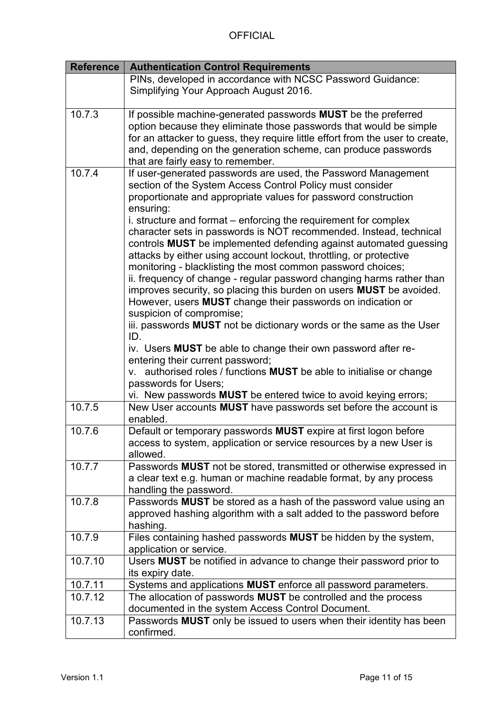| <b>Reference</b> | <b>Authentication Control Requirements</b>                                    |  |
|------------------|-------------------------------------------------------------------------------|--|
|                  | PINs, developed in accordance with NCSC Password Guidance:                    |  |
|                  | Simplifying Your Approach August 2016.                                        |  |
|                  |                                                                               |  |
| 10.7.3           | If possible machine-generated passwords MUST be the preferred                 |  |
|                  | option because they eliminate those passwords that would be simple            |  |
|                  | for an attacker to guess, they require little effort from the user to create, |  |
|                  | and, depending on the generation scheme, can produce passwords                |  |
|                  | that are fairly easy to remember.                                             |  |
| 10.7.4           | If user-generated passwords are used, the Password Management                 |  |
|                  | section of the System Access Control Policy must consider                     |  |
|                  | proportionate and appropriate values for password construction                |  |
|                  | ensuring:                                                                     |  |
|                  | i. structure and format - enforcing the requirement for complex               |  |
|                  | character sets in passwords is NOT recommended. Instead, technical            |  |
|                  | controls MUST be implemented defending against automated guessing             |  |
|                  | attacks by either using account lockout, throttling, or protective            |  |
|                  | monitoring - blacklisting the most common password choices;                   |  |
|                  | ii. frequency of change - regular password changing harms rather than         |  |
|                  | improves security, so placing this burden on users MUST be avoided.           |  |
|                  | However, users MUST change their passwords on indication or                   |  |
|                  | suspicion of compromise;                                                      |  |
|                  | iii. passwords MUST not be dictionary words or the same as the User           |  |
|                  | ID.                                                                           |  |
|                  | iv. Users MUST be able to change their own password after re-                 |  |
|                  | entering their current password;                                              |  |
|                  | v. authorised roles / functions MUST be able to initialise or change          |  |
|                  | passwords for Users;                                                          |  |
|                  | vi. New passwords MUST be entered twice to avoid keying errors;               |  |
| 10.7.5           | New User accounts MUST have passwords set before the account is               |  |
|                  | enabled.                                                                      |  |
| 10.7.6           | Default or temporary passwords MUST expire at first logon before              |  |
|                  | access to system, application or service resources by a new User is           |  |
|                  | allowed.                                                                      |  |
| 10.7.7           | Passwords MUST not be stored, transmitted or otherwise expressed in           |  |
|                  | a clear text e.g. human or machine readable format, by any process            |  |
|                  | handling the password.                                                        |  |
| 10.7.8           | Passwords MUST be stored as a hash of the password value using an             |  |
|                  | approved hashing algorithm with a salt added to the password before           |  |
|                  | hashing.                                                                      |  |
| 10.7.9           | Files containing hashed passwords <b>MUST</b> be hidden by the system,        |  |
|                  | application or service.                                                       |  |
| 10.7.10          | Users MUST be notified in advance to change their password prior to           |  |
|                  | its expiry date.                                                              |  |
| 10.7.11          | Systems and applications MUST enforce all password parameters.                |  |
| 10.7.12          | The allocation of passwords MUST be controlled and the process                |  |
|                  | documented in the system Access Control Document.                             |  |
| 10.7.13          | Passwords MUST only be issued to users when their identity has been           |  |
|                  | confirmed.                                                                    |  |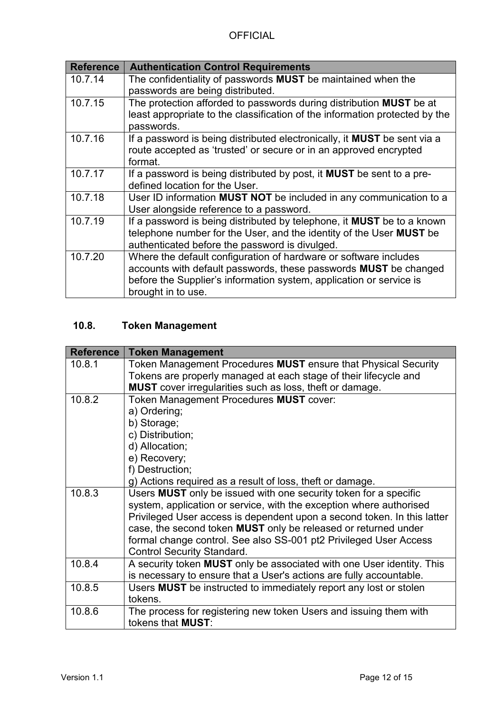| <b>Authentication Control Requirements</b>                                      |  |
|---------------------------------------------------------------------------------|--|
| The confidentiality of passwords MUST be maintained when the                    |  |
| passwords are being distributed.                                                |  |
| The protection afforded to passwords during distribution MUST be at             |  |
| least appropriate to the classification of the information protected by the     |  |
| passwords.                                                                      |  |
| If a password is being distributed electronically, it <b>MUST</b> be sent via a |  |
| route accepted as 'trusted' or secure or in an approved encrypted               |  |
| format.                                                                         |  |
| If a password is being distributed by post, it <b>MUST</b> be sent to a pre-    |  |
| defined location for the User.                                                  |  |
| User ID information MUST NOT be included in any communication to a              |  |
| User alongside reference to a password.                                         |  |
| If a password is being distributed by telephone, it MUST be to a known          |  |
| telephone number for the User, and the identity of the User MUST be             |  |
| authenticated before the password is divulged.                                  |  |
| Where the default configuration of hardware or software includes                |  |
| accounts with default passwords, these passwords <b>MUST</b> be changed         |  |
| before the Supplier's information system, application or service is             |  |
| brought in to use.                                                              |  |
|                                                                                 |  |

# <span id="page-11-0"></span>**10.8. Token Management**

| <b>Reference</b> | <b>Token Management</b>                                                                                                                   |
|------------------|-------------------------------------------------------------------------------------------------------------------------------------------|
| 10.8.1           | Token Management Procedures MUST ensure that Physical Security                                                                            |
|                  | Tokens are properly managed at each stage of their lifecycle and                                                                          |
|                  | <b>MUST</b> cover irregularities such as loss, theft or damage.                                                                           |
| 10.8.2           | Token Management Procedures MUST cover:                                                                                                   |
|                  | a) Ordering;                                                                                                                              |
|                  | b) Storage;                                                                                                                               |
|                  | c) Distribution;                                                                                                                          |
|                  | d) Allocation;                                                                                                                            |
|                  | e) Recovery;                                                                                                                              |
|                  | f) Destruction;                                                                                                                           |
|                  | g) Actions required as a result of loss, theft or damage.                                                                                 |
| 10.8.3           | Users MUST only be issued with one security token for a specific<br>system, application or service, with the exception where authorised   |
|                  | Privileged User access is dependent upon a second token. In this latter<br>case, the second token MUST only be released or returned under |
|                  | formal change control. See also SS-001 pt2 Privileged User Access                                                                         |
|                  | <b>Control Security Standard.</b>                                                                                                         |
| 10.8.4           | A security token MUST only be associated with one User identity. This                                                                     |
|                  | is necessary to ensure that a User's actions are fully accountable.                                                                       |
| 10.8.5           | Users MUST be instructed to immediately report any lost or stolen                                                                         |
|                  | tokens.                                                                                                                                   |
| 10.8.6           | The process for registering new token Users and issuing them with<br>tokens that <b>MUST:</b>                                             |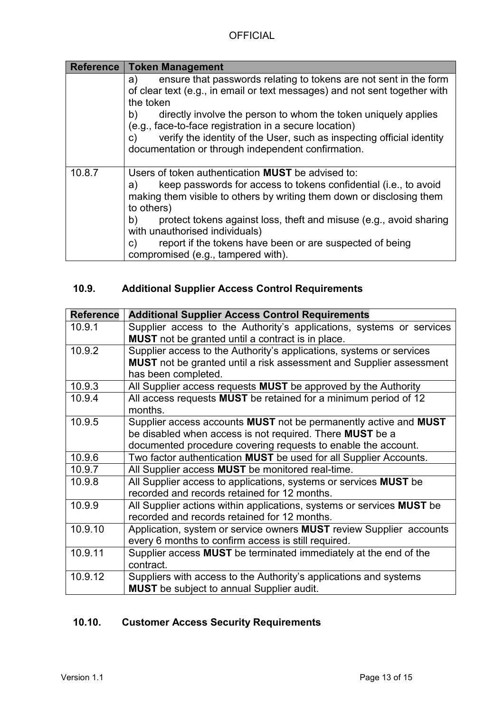| Reference<br><b>Token Management</b>                                                                                                                                                                                                                                                                  |  |
|-------------------------------------------------------------------------------------------------------------------------------------------------------------------------------------------------------------------------------------------------------------------------------------------------------|--|
| ensure that passwords relating to tokens are not sent in the form<br>a)<br>of clear text (e.g., in email or text messages) and not sent together with<br>the token                                                                                                                                    |  |
| b)<br>directly involve the person to whom the token uniquely applies<br>(e.g., face-to-face registration in a secure location)                                                                                                                                                                        |  |
| verify the identity of the User, such as inspecting official identity<br>C)<br>documentation or through independent confirmation.                                                                                                                                                                     |  |
| Users of token authentication <b>MUST</b> be advised to:<br>keep passwords for access to tokens confidential (i.e., to avoid<br>a)<br>making them visible to others by writing them down or disclosing them<br>to others)<br>protect tokens against loss, theft and misuse (e.g., avoid sharing<br>b) |  |
| with unauthorised individuals)                                                                                                                                                                                                                                                                        |  |
| report if the tokens have been or are suspected of being<br>$\mathsf{C}$<br>compromised (e.g., tampered with).                                                                                                                                                                                        |  |
|                                                                                                                                                                                                                                                                                                       |  |

# <span id="page-12-0"></span>**10.9. Additional Supplier Access Control Requirements**

| <b>Reference</b> | <b>Additional Supplier Access Control Requirements</b>                     |
|------------------|----------------------------------------------------------------------------|
| 10.9.1           | Supplier access to the Authority's applications, systems or services       |
|                  | <b>MUST</b> not be granted until a contract is in place.                   |
| 10.9.2           | Supplier access to the Authority's applications, systems or services       |
|                  | MUST not be granted until a risk assessment and Supplier assessment        |
|                  | has been completed.                                                        |
| 10.9.3           | All Supplier access requests <b>MUST</b> be approved by the Authority      |
| 10.9.4           | All access requests MUST be retained for a minimum period of 12            |
|                  | months.                                                                    |
| 10.9.5           | Supplier access accounts MUST not be permanently active and MUST           |
|                  | be disabled when access is not required. There MUST be a                   |
|                  | documented procedure covering requests to enable the account.              |
| 10.9.6           | Two factor authentication MUST be used for all Supplier Accounts.          |
| 10.9.7           | All Supplier access MUST be monitored real-time.                           |
| 10.9.8           | All Supplier access to applications, systems or services MUST be           |
|                  | recorded and records retained for 12 months.                               |
| 10.9.9           | All Supplier actions within applications, systems or services MUST be      |
|                  | recorded and records retained for 12 months.                               |
| 10.9.10          | Application, system or service owners <b>MUST</b> review Supplier accounts |
|                  | every 6 months to confirm access is still required.                        |
| 10.9.11          | Supplier access MUST be terminated immediately at the end of the           |
|                  | contract.                                                                  |
| 10.9.12          | Suppliers with access to the Authority's applications and systems          |
|                  | <b>MUST</b> be subject to annual Supplier audit.                           |

# <span id="page-12-1"></span>**10.10. Customer Access Security Requirements**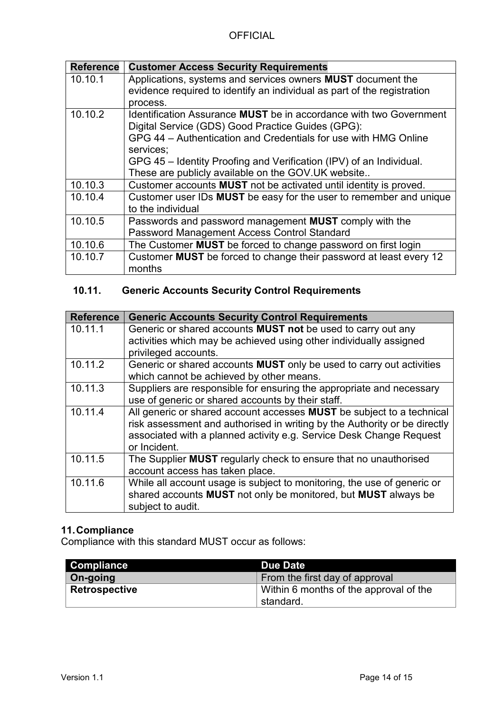| <b>Reference</b> | <b>Customer Access Security Requirements</b>                            |  |
|------------------|-------------------------------------------------------------------------|--|
| 10.10.1          | Applications, systems and services owners <b>MUST</b> document the      |  |
|                  | evidence required to identify an individual as part of the registration |  |
|                  | process.                                                                |  |
| 10.10.2          | Identification Assurance MUST be in accordance with two Government      |  |
|                  | Digital Service (GDS) Good Practice Guides (GPG):                       |  |
|                  | GPG 44 – Authentication and Credentials for use with HMG Online         |  |
|                  | services;                                                               |  |
|                  | GPG 45 – Identity Proofing and Verification (IPV) of an Individual.     |  |
|                  | These are publicly available on the GOV.UK website                      |  |
| 10.10.3          | Customer accounts MUST not be activated until identity is proved.       |  |
| 10.10.4          | Customer user IDs MUST be easy for the user to remember and unique      |  |
|                  | to the individual                                                       |  |
| 10.10.5          | Passwords and password management <b>MUST</b> comply with the           |  |
|                  | Password Management Access Control Standard                             |  |
| 10.10.6          | The Customer MUST be forced to change password on first login           |  |
| 10.10.7          | Customer MUST be forced to change their password at least every 12      |  |
|                  | months                                                                  |  |

## <span id="page-13-0"></span>**10.11. Generic Accounts Security Control Requirements**

| <b>Reference</b> | <b>Generic Accounts Security Control Requirements</b>                       |
|------------------|-----------------------------------------------------------------------------|
| 10.11.1          | Generic or shared accounts <b>MUST not</b> be used to carry out any         |
|                  | activities which may be achieved using other individually assigned          |
|                  | privileged accounts.                                                        |
| 10.11.2          | Generic or shared accounts <b>MUST</b> only be used to carry out activities |
|                  | which cannot be achieved by other means.                                    |
| 10.11.3          | Suppliers are responsible for ensuring the appropriate and necessary        |
|                  | use of generic or shared accounts by their staff.                           |
| 10.11.4          | All generic or shared account accesses MUST be subject to a technical       |
|                  | risk assessment and authorised in writing by the Authority or be directly   |
|                  | associated with a planned activity e.g. Service Desk Change Request         |
|                  | or Incident.                                                                |
| 10.11.5          | The Supplier <b>MUST</b> regularly check to ensure that no unauthorised     |
|                  | account access has taken place.                                             |
| 10.11.6          | While all account usage is subject to monitoring, the use of generic or     |
|                  | shared accounts MUST not only be monitored, but MUST always be              |
|                  | subject to audit.                                                           |

## <span id="page-13-1"></span>**11.Compliance**

Compliance with this standard MUST occur as follows:

| <b>Compliance</b>    | <b>Due Date</b>                        |
|----------------------|----------------------------------------|
| On-going             | From the first day of approval         |
| <b>Retrospective</b> | Within 6 months of the approval of the |
|                      | standard.                              |